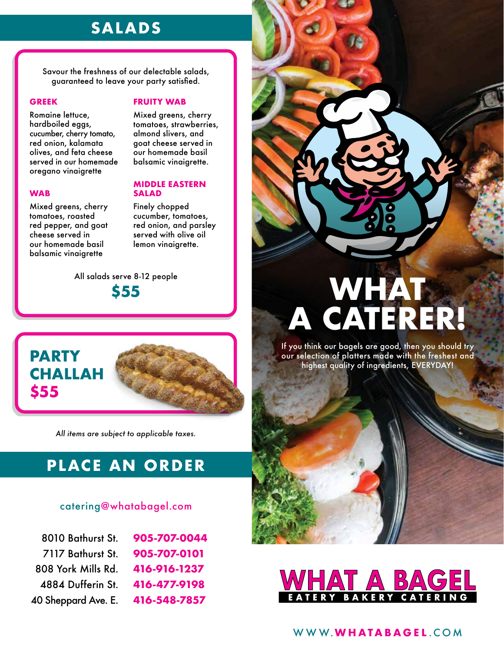## **SALADS**

Savour the freshness of our delectable salads, guaranteed to leave your party satisfied.

#### **GREEK**

Romaine lettuce, hardboiled eggs, cucumber, cherry tomato, red onion, kalamata olives, and feta cheese served in our homemade oregano vinaigrette

#### **WAB**

**\$55**

Mixed greens, cherry tomatoes, roasted red pepper, and goat cheese served in our homemade basil balsamic vinaigrette

### **FRUITY WAB**

Mixed greens, cherry tomatoes, strawberries, almond slivers, and goat cheese served in our homemade basil balsamic vinaigrette.

### **MIDDLE EASTERN SALAD**

Finely chopped cucumber, tomatoes, red onion, and parsley served with olive oil lemon vinaigrette.

All salads serve 8-12 people **\$55**



*All items are subject to applicable taxes.*

## **PLACE AN ORDER**

### catering@whatabagel.com

| 8010 Bathurst St.   | 905-707-0044 |
|---------------------|--------------|
| 7117 Bathurst St.   | 905-707-0101 |
| 808 York Mills Rd.  | 416-916-1237 |
| 4884 Dufferin St.   | 416-477-9198 |
| 40 Sheppard Ave. E. | 416-548-7857 |



If you think our bagels are good, then you should try our selection of platters made with the freshest and highest quality of ingredients, EVERYDAY!



## WWW.**WHATABAGEL** .COM